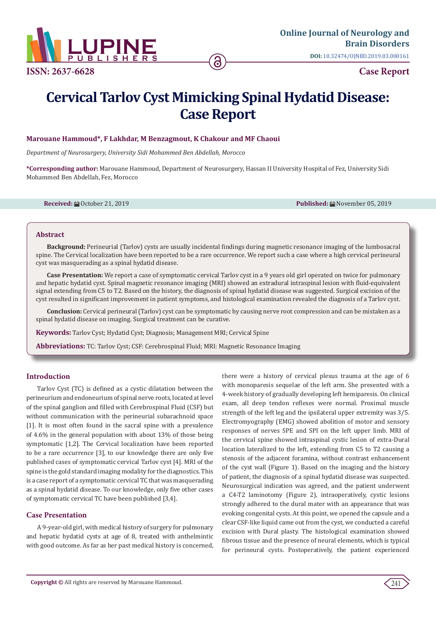

# **Cervical Tarlov Cyst Mimicking Spinal Hydatid Disease: Case Report**

# **Marouane Hammoud\*, F Lakhdar, M Benzagmout, K Chakour and MF Chaoui**

*Department of Neurosurgery, University Sidi Mohammed Ben Abdellah, Morocco*

**\*Corresponding author:** Marouane Hammoud, Department of Neurosurgery, Hassan II University Hospital of Fez, University Sidi Mohammed Ben Abdellah, Fez, Morocco

**Received:** ■ October 21, 2019 **Published:** ■ November 05, 2019

#### **Abstract**

**Background:** Perineurial (Tarlov) cysts are usually incidental findings during magnetic resonance imaging of the lumbosacral spine. The Cervical localization have been reported to be a rare occurrence. We report such a case where a high cervical perineural cyst was masquerading as a spinal hydatid disease.

**Case Presentation:** We report a case of symptomatic cervical Tarlov cyst in a 9 years old girl operated on twice for pulmonary and hepatic hydatid cyst. Spinal magnetic resonance imaging (MRI) showed an extradural intraspinal lesion with fluid-equivalent signal extending from C5 to T2. Based on the history, the diagnosis of spinal hydatid disease was suggested. Surgical excision of the cyst resulted in significant improvement in patient symptoms, and histological examination revealed the diagnosis of a Tarlov cyst.

**Conclusion:** Cervical perineural (Tarlov) cyst can be symptomatic by causing nerve root compression and can be mistaken as a spinal hydatid disease on imaging. Surgical treatment can be curative.

**Keywords:** Tarlov Cyst; Hydatid Cyst; Diagnosis; Management MRI; Cervical Spine

**Abbreviations:** TC: Tarlov Cyst; CSF: Cerebrospinal Fluid; MRI: Magnetic Resonance Imaging

# **Introduction**

Tarlov Cyst (TC) is defined as a cystic dilatation between the perineurium and endoneurium of spinal nerve roots, located at level of the spinal ganglion and filled with Cerebrospinal Fluid (CSF) but without communication with the perineurial subarachnoid space [1]. It is most often found in the sacral spine with a prevalence of 4.6% in the general population with about 13% of those being symptomatic [1,2]. The Cervical localization have been reported to be a rare occurrence [3], to our knowledge there are only five published cases of symptomatic cervical Tarlov cyst [4]. MRI of the spine is the gold standard imaging modality for the diagnostics. This is a case report of a symptomatic cervical TC that was masquerading as a spinal hydatid disease. To our knowledge, only five other cases of symptomatic cervical TC have been published [3,4].

# **Case Presentation**

A 9-year-old girl, with medical history of surgery for pulmonary and hepatic hydatid cysts at age of 8, treated with anthelmintic with good outcome. As far as her past medical history is concerned, there were a history of cervical plexus trauma at the age of 6 with monoparesis sequelae of the left arm. She presented with a 4-week history of gradually developing left hemiparesis. On clinical exam, all deep tendon reflexes were normal. Proximal muscle strength of the left leg and the ipsilateral upper extremity was 3/5. Electromyography (EMG) showed abolition of motor and sensory responses of nerves SPE and SPI on the left upper limb. MRI of the cervical spine showed intraspinal cystic lesion of extra-Dural location lateralized to the left, extending from C5 to T2 causing a stenosis of the adjacent foramina, without contrast enhancement of the cyst wall (Figure 1). Based on the imaging and the history of patient, the diagnosis of a spinal hydatid disease was suspected. Neurosurgical indication was agreed, and the patient underwent a C4-T2 laminotomy (Figure 2), intraoperatively, cystic lesions strongly adhered to the dural mater with an appearance that was evoking congenital cysts. At this point, we opened the capsule and a clear CSF-like liquid came out from the cyst, we conducted a careful excision with Dural plasty. The histological examination showed fibrous tissue and the presence of neural elements, which is typical for perineural cysts. Postoperatively, the patient experienced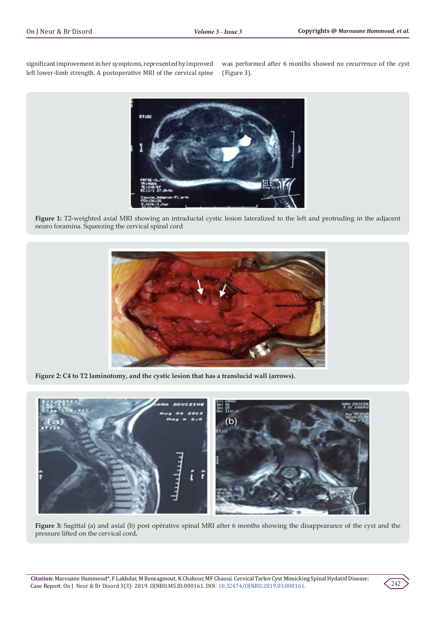significant improvement in her symptoms, represented by improved left lower-limb strength. A postoperative MRI of the cervical spine was performed after 6 months showed no recurrence of the cyst (Figure 3).



**Figure 1:** T2-weighted axial MRI showing an intraductal cystic lesion lateralized to the left and protruding in the adjacent neuro foramina. Squeezing the cervical spinal cord



**Figure 2: C4 to T2 laminotomy, and the cystic lesion that has a translucid wall (arrows).**



**Figure 3:** Sagittal (a) and axial (b) post opérative spinal MRI after 6 months showing the disappearance of the cyst and the pressure lifted on the cervical cord**.**

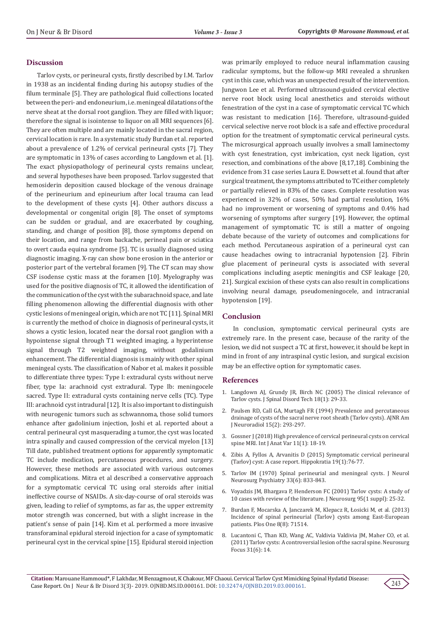#### **Discussion**

Tarlov cysts, or perineural cysts, firstly described by I.M. Tarlov in 1938 as an incidental finding during his autopsy studies of the filum terminale [5]. They are pathological fluid collections located between the peri- and endoneurium, i.e. meningeal dilatations of the nerve sheat at the dorsal root ganglion. They are filled with liquor; therefore the signal is isointense to liquor on all MRI sequences [6]. They are often multiple and are mainly located in the sacral region, cervical location is rare. In a systematic study Burdan et al. reported about a prevalence of 1.2% of cervical perineural cysts [7]. They are symptomatic in 13% of cases according to Langdown et al. [1]. The exact physiopathology of perineural cysts remains unclear, and several hypotheses have been proposed. Tarlov suggested that hemosiderin deposition caused blockage of the venous drainage of the perineurium and epineurium after local trauma can lead to the development of these cysts [4]. Other authors discuss a developmental or congenital origin [8]. The onset of symptoms can be sudden or gradual, and are exacerbated by coughing, standing, and change of position [8], those symptoms depend on their location, and range from backache, perineal pain or sciatica to overt cauda equina syndrome [5]. TC is usually diagnosed using diagnostic imaging. X-ray can show bone erosion in the anterior or posterior part of the vertebral foramen [9]. The CT scan may show CSF isodense cystic mass at the foramen [10]. Myelography was used for the positive diagnosis of TC, it allowed the identification of the communication of the cyst with the subarachnoid space, and late filling phenomenon allowing the differential diagnosis with other cystic lesions of meningeal origin, which are not TC [11]. Spinal MRI is currently the method of choice in diagnosis of perineural cysts, it shows a cystic lesion, located near the dorsal root ganglion with a hypointense signal through T1 weighted imaging, a hyperintense signal through T2 weighted imaging, without godalinium enhancement. The differential diagnosis is mainly with other spinal meningeal cysts. The classification of Nabor et al. makes it possible to differentiate three types: Type I: extradural cysts without nerve fiber, type Ia: arachnoid cyst extradural. Type Ib: meningocele sacred. Type II: extradural cysts containing nerve cells (TC). Type III: arachnoid cyst intradural [12]. It is also important to distinguish with neurogenic tumors such as schwannoma, those solid tumors enhance after gadolinium injection, Joshi et al. reported about a central perineural cyst masquerading a tumor, the cyst was located intra spinally and caused compression of the cervical myelon [13] Till date, published treatment options for apparently symptomatic TC include medication, percutaneous procedures, and surgery. However, these methods are associated with various outcomes and complications. Mitra et al described a conservative approach for a symptomatic cervical TC using oral steroids after initial ineffective course of NSAIDs. A six-day-course of oral steroids was given, leading to relief of symptoms, as far as, the upper extremity motor strength was concerned, but with a slight increase in the patient's sense of pain [14]. Kim et al. performed a more invasive transforaminal epidural steroid injection for a case of symptomatic perineural cyst in the cervical spine [15]. Epidural steroid injection

was primarily employed to reduce neural inflammation causing radicular symptoms, but the follow-up MRI revealed a shrunken cyst in this case, which was an unexpected result of the intervention. Jungwon Lee et al. Performed ultrasound-guided cervical elective nerve root block using local anesthetics and steroids without fenestration of the cyst in a case of symptomatic cervical TC which was resistant to medication [16]. Therefore, ultrasound-guided cervical selective nerve root block is a safe and effective procedural option for the treatment of symptomatic cervical perineural cysts. The microsurgical approach usually involves a small laminectomy with cyst fenestration, cyst imbrication, cyst neck ligation, cyst resection, and combinations of the above [8,17,18]. Combining the evidence from 31 case series Laura E. Dowsett et al. found that after surgical treatment, the symptoms attributed to TC either completely or partially relieved in 83% of the cases. Complete resolution was experienced in 32% of cases, 50% had partial resolution, 16% had no improvement or worsening of symptoms and 0.4% had worsening of symptoms after surgery [19]. However, the optimal management of symptomatic TC is still a matter of ongoing debate because of the variety of outcomes and complications for each method. Percutaneous aspiration of a perineural cyst can cause headaches owing to intracranial hypotension [2]. Fibrin glue placement of perineural cysts is associated with several complications including aseptic meningitis and CSF leakage [20, 21]. Surgical excision of these cysts can also result in complications involving neural damage, pseudomeningocele, and intracranial hypotension [19].

### **Conclusion**

In conclusion, symptomatic cervical perineural cysts are extremely rare. In the present case, because of the rarity of the lesion, we did not suspect a TC at first, however, it should be kept in mind in front of any intraspinal cystic lesion, and surgical excision may be an effective option for symptomatic cases.

#### **References**

- 1. [Langdown AJ, Grundy JR, Birch NC \(2005\) The clinical relevance of](https://www.ncbi.nlm.nih.gov/pubmed/15687849) [Tarlov cysts. J Spinal Disord Tech 18\(1\): 29-33.](https://www.ncbi.nlm.nih.gov/pubmed/15687849)
- 2. [Paulsen RD, Call GA, Murtagh FR \(1994\) Prevalence and percutaneous](https://www.ncbi.nlm.nih.gov/pubmed/8192075) [drainage of cysts of the sacral nerve root sheath \(Tarlov cysts\). AJNR Am](https://www.ncbi.nlm.nih.gov/pubmed/8192075) [J Neuroradiol 15\(2\): 293-297.](https://www.ncbi.nlm.nih.gov/pubmed/8192075)
- 3. [Gossner J \(2018\) High prevalence of cervical perineural cysts on cervical](https://www.pulsus.com/scholarly-articles/high-prevalence-of-cervical-perineural-cysts-on-cervical-spine-mri.pdf) [spine MRI. Int J Anat Var 11\(1\): 18-19.](https://www.pulsus.com/scholarly-articles/high-prevalence-of-cervical-perineural-cysts-on-cervical-spine-mri.pdf)
- 4. [Zibis A, Fyllos A, Arvanitis D \(2015\) Symptomatic cervical perineural](https://www.ncbi.nlm.nih.gov/pubmed/26435653/) [\(Tarlov\) cyst: A case report. Hippokratia 19\(1\):76-77.](https://www.ncbi.nlm.nih.gov/pubmed/26435653/)
- 5. [Tarlov IM \(1970\) Spinal perineurial and meningeal cysts. J Neurol](https://www.ncbi.nlm.nih.gov/pubmed/5531903/) [Neurosurg Psychiatry 33\(6\): 833-843.](https://www.ncbi.nlm.nih.gov/pubmed/5531903/)
- 6. [Voyadzis JM, Bhargava P, Henderson FC \(2001\) Tarlov cysts: A study of](https://www.ncbi.nlm.nih.gov/pubmed/11453427) [10 cases with review of the literature. J Neurosurg 95\(1 suppl\): 25-32.](https://www.ncbi.nlm.nih.gov/pubmed/11453427)
- 7. [Burdan F, Mocarska A, Janczarek M, Klepacz R, Łosicki M, et al. \(2013\)](https://www.ncbi.nlm.nih.gov/pubmed/23936511/) [Incidence of spinal perineurial \(Tarlov\) cysts among East-European](https://www.ncbi.nlm.nih.gov/pubmed/23936511/) [patients. Plos One 8\(8\): 71514.](https://www.ncbi.nlm.nih.gov/pubmed/23936511/)
- 8. [Lucantoni C, Than KD, Wang AC, Valdivia Valdivia JM, Maher CO, et al.](https://www.ncbi.nlm.nih.gov/pubmed/22133181) [\(2011\) Tarlov cysts: A controversial lesion of the sacral spine. Neurosurg](https://www.ncbi.nlm.nih.gov/pubmed/22133181) [Focus 31\(6\): 14.](https://www.ncbi.nlm.nih.gov/pubmed/22133181)